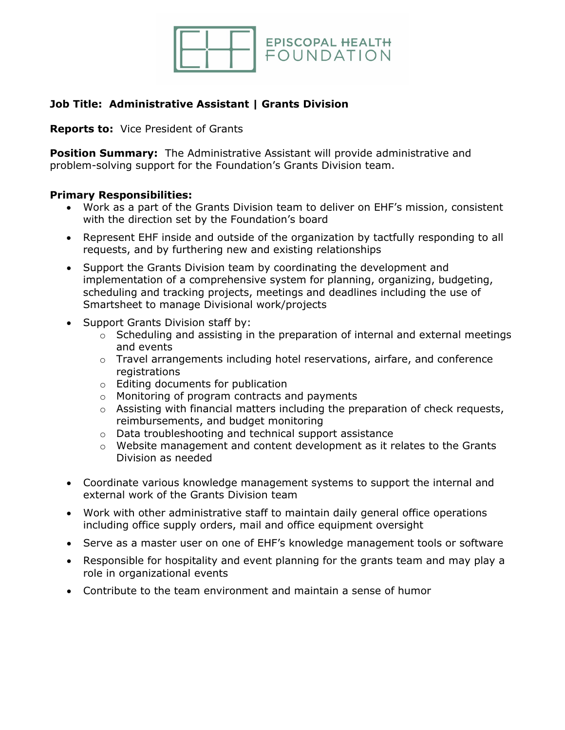

# **Job Title: Administrative Assistant | Grants Division**

**Reports to:** Vice President of Grants

**Position Summary:** The Administrative Assistant will provide administrative and problem-solving support for the Foundation's Grants Division team.

### **Primary Responsibilities:**

- Work as a part of the Grants Division team to deliver on EHF's mission, consistent with the direction set by the Foundation's board
- Represent EHF inside and outside of the organization by tactfully responding to all requests, and by furthering new and existing relationships
- Support the Grants Division team by coordinating the development and implementation of a comprehensive system for planning, organizing, budgeting, scheduling and tracking projects, meetings and deadlines including the use of Smartsheet to manage Divisional work/projects
- Support Grants Division staff by:
	- o Scheduling and assisting in the preparation of internal and external meetings and events
	- o Travel arrangements including hotel reservations, airfare, and conference registrations
	- o Editing documents for publication
	- o Monitoring of program contracts and payments
	- $\circ$  Assisting with financial matters including the preparation of check requests, reimbursements, and budget monitoring
	- o Data troubleshooting and technical support assistance
	- o Website management and content development as it relates to the Grants Division as needed
- Coordinate various knowledge management systems to support the internal and external work of the Grants Division team
- Work with other administrative staff to maintain daily general office operations including office supply orders, mail and office equipment oversight
- Serve as a master user on one of EHF's knowledge management tools or software
- Responsible for hospitality and event planning for the grants team and may play a role in organizational events
- Contribute to the team environment and maintain a sense of humor